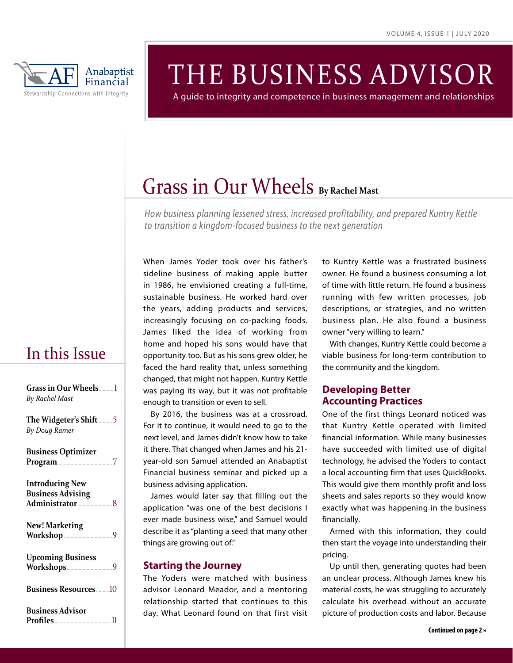

# THE BUSINESS ADVISOR

A guide to integrity and competence in business management and relationships

# Grass in Our Wheels **By Rachel Mast**

*How business planning lessened stress, increased profitability, and prepared Kuntry Kettle to transition a kingdom-focused business to the next generation*

# In this Issue

| Grass in Our Wheels1<br>By Rachel Mast             |
|----------------------------------------------------|
| The Widgeter's Shift  5<br><b>By Doug Ramer</b>    |
| <b>Business Optimizer</b><br>Program               |
| <b>Introducing New</b><br><b>Business Advising</b> |
| <b>New! Marketing</b><br>Workshop                  |
| <b>Upcoming Business</b>                           |
| <b>Business Resources10</b>                        |
| <b>Business Advisor</b>                            |

When James Yoder took over his father's sideline business of making apple butter in 1986, he envisioned creating a full-time, sustainable business. He worked hard over the years, adding products and services, increasingly focusing on co-packing foods. James liked the idea of working from home and hoped his sons would have that opportunity too. But as his sons grew older, he faced the hard reality that, unless something changed, that might not happen. Kuntry Kettle was paying its way, but it was not profitable enough to transition or even to sell.

By 2016, the business was at a crossroad. For it to continue, it would need to go to the next level, and James didn't know how to take it there. That changed when James and his 21 year-old son Samuel attended an Anabaptist Financial business seminar and picked up a business advising application.

James would later say that filling out the application "was one of the best decisions I ever made business wise," and Samuel would describe it as "planting a seed that many other things are growing out of."

## **Starting the Journey**

The Yoders were matched with business advisor Leonard Meador, and a mentoring relationship started that continues to this day. What Leonard found on that first visit to Kuntry Kettle was a frustrated business owner. He found a business consuming a lot of time with little return. He found a business running with few written processes, job descriptions, or strategies, and no written business plan. He also found a business owner "very willing to learn."

With changes, Kuntry Kettle could become a viable business for long-term contribution to the community and the kingdom.

# **Developing Better Accounting Practices**

One of the first things Leonard noticed was that Kuntry Kettle operated with limited financial information. While many businesses have succeeded with limited use of digital technology, he advised the Yoders to contact a local accounting firm that uses QuickBooks. This would give them monthly profit and loss sheets and sales reports so they would know exactly what was happening in the business financially.

Armed with this information, they could then start the voyage into understanding their pricing.

Up until then, generating quotes had been an unclear process. Although James knew his material costs, he was struggling to accurately calculate his overhead without an accurate picture of production costs and labor. Because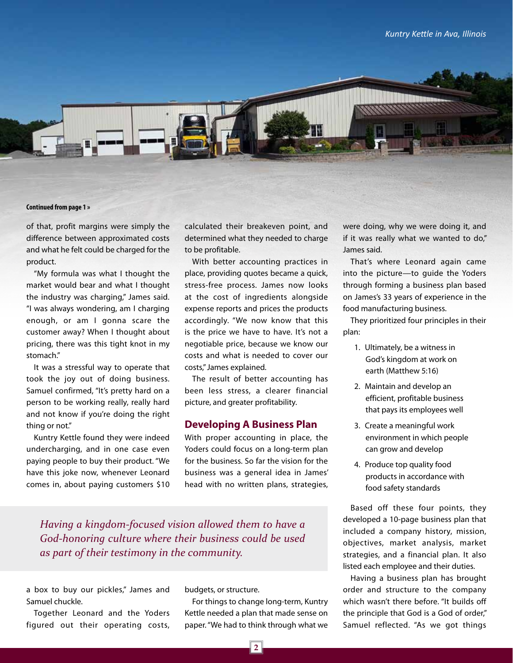

of that, profit margins were simply the difference between approximated costs and what he felt could be charged for the product.

"My formula was what I thought the market would bear and what I thought the industry was charging," James said. "I was always wondering, am I charging enough, or am I gonna scare the customer away? When I thought about pricing, there was this tight knot in my stomach."

It was a stressful way to operate that took the joy out of doing business. Samuel confirmed, "It's pretty hard on a person to be working really, really hard and not know if you're doing the right thing or not."

Kuntry Kettle found they were indeed undercharging, and in one case even paying people to buy their product. "We have this joke now, whenever Leonard comes in, about paying customers \$10 calculated their breakeven point, and determined what they needed to charge to be profitable.

With better accounting practices in place, providing quotes became a quick, stress-free process. James now looks at the cost of ingredients alongside expense reports and prices the products accordingly. "We now know that this is the price we have to have. It's not a negotiable price, because we know our costs and what is needed to cover our costs," James explained.

The result of better accounting has been less stress, a clearer financial picture, and greater profitability.

#### **Developing A Business Plan**

With proper accounting in place, the Yoders could focus on a long-term plan for the business. So far the vision for the business was a general idea in James' head with no written plans, strategies,

*Having a kingdom-focused vision allowed them to have a God-honoring culture where their business could be used as part of their testimony in the community.*

a box to buy our pickles," James and Samuel chuckle.

Together Leonard and the Yoders figured out their operating costs, budgets, or structure.

For things to change long-term, Kuntry Kettle needed a plan that made sense on paper. "We had to think through what we

were doing, why we were doing it, and if it was really what we wanted to do," James said.

That's where Leonard again came into the picture—to guide the Yoders through forming a business plan based on James's 33 years of experience in the food manufacturing business.

They prioritized four principles in their plan:

- 1. Ultimately, be a witness in God's kingdom at work on earth (Matthew 5:16)
- 2. Maintain and develop an efficient, profitable business that pays its employees well
- 3. Create a meaningful work environment in which people can grow and develop
- 4. Produce top quality food products in accordance with food safety standards

Based off these four points, they developed a 10-page business plan that included a company history, mission, objectives, market analysis, market strategies, and a financial plan. It also listed each employee and their duties.

Having a business plan has brought order and structure to the company which wasn't there before. "It builds off the principle that God is a God of order," Samuel reflected. "As we got things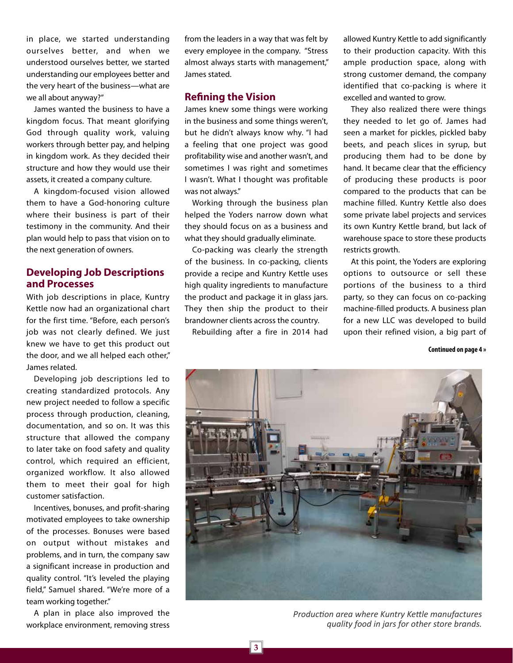in place, we started understanding ourselves better, and when we understood ourselves better, we started understanding our employees better and the very heart of the business—what are we all about anyway?"

James wanted the business to have a kingdom focus. That meant glorifying God through quality work, valuing workers through better pay, and helping in kingdom work. As they decided their structure and how they would use their assets, it created a company culture.

A kingdom-focused vision allowed them to have a God-honoring culture where their business is part of their testimony in the community. And their plan would help to pass that vision on to the next generation of owners.

# **Developing Job Descriptions and Processes**

With job descriptions in place, Kuntry Kettle now had an organizational chart for the first time. "Before, each person's job was not clearly defined. We just knew we have to get this product out the door, and we all helped each other," James related.

Developing job descriptions led to creating standardized protocols. Any new project needed to follow a specific process through production, cleaning, documentation, and so on. It was this structure that allowed the company to later take on food safety and quality control, which required an efficient, organized workflow. It also allowed them to meet their goal for high customer satisfaction.

Incentives, bonuses, and profit-sharing motivated employees to take ownership of the processes. Bonuses were based on output without mistakes and problems, and in turn, the company saw a significant increase in production and quality control. "It's leveled the playing field," Samuel shared. "We're more of a team working together."

A plan in place also improved the workplace environment, removing stress from the leaders in a way that was felt by every employee in the company. "Stress almost always starts with management," James stated.

## **Refining the Vision**

James knew some things were working in the business and some things weren't, but he didn't always know why. "I had a feeling that one project was good profitability wise and another wasn't, and sometimes I was right and sometimes I wasn't. What I thought was profitable was not always."

Working through the business plan helped the Yoders narrow down what they should focus on as a business and what they should gradually eliminate.

Co-packing was clearly the strength of the business. In co-packing, clients provide a recipe and Kuntry Kettle uses high quality ingredients to manufacture the product and package it in glass jars. They then ship the product to their brandowner clients across the country.

Rebuilding after a fire in 2014 had

allowed Kuntry Kettle to add significantly to their production capacity. With this ample production space, along with strong customer demand, the company identified that co-packing is where it excelled and wanted to grow.

They also realized there were things they needed to let go of. James had seen a market for pickles, pickled baby beets, and peach slices in syrup, but producing them had to be done by hand. It became clear that the efficiency of producing these products is poor compared to the products that can be machine filled. Kuntry Kettle also does some private label projects and services its own Kuntry Kettle brand, but lack of warehouse space to store these products restricts growth.

At this point, the Yoders are exploring options to outsource or sell these portions of the business to a third party, so they can focus on co-packing machine-filled products. A business plan for a new LLC was developed to build upon their refined vision, a big part of

**Continued on page 4 »**



*Production area where Kuntry Kettle manufactures quality food in jars for other store brands.*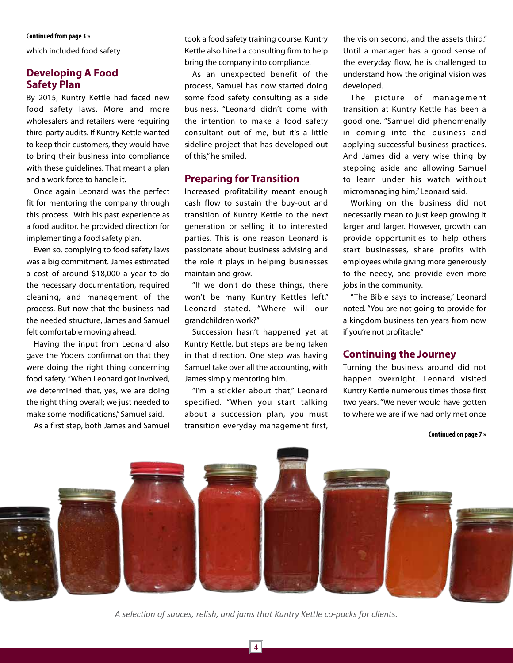#### **Continued from page 3 »**

which included food safety.

# **Developing A Food Safety Plan**

By 2015, Kuntry Kettle had faced new food safety laws. More and more wholesalers and retailers were requiring third-party audits. If Kuntry Kettle wanted to keep their customers, they would have to bring their business into compliance with these guidelines. That meant a plan and a work force to handle it.

Once again Leonard was the perfect fit for mentoring the company through this process. With his past experience as a food auditor, he provided direction for implementing a food safety plan.

Even so, complying to food safety laws was a big commitment. James estimated a cost of around \$18,000 a year to do the necessary documentation, required cleaning, and management of the process. But now that the business had the needed structure, James and Samuel felt comfortable moving ahead.

Having the input from Leonard also gave the Yoders confirmation that they were doing the right thing concerning food safety. "When Leonard got involved, we determined that, yes, we are doing the right thing overall; we just needed to make some modifications," Samuel said.

As a first step, both James and Samuel

took a food safety training course. Kuntry Kettle also hired a consulting firm to help bring the company into compliance.

As an unexpected benefit of the process, Samuel has now started doing some food safety consulting as a side business. "Leonard didn't come with the intention to make a food safety consultant out of me, but it's a little sideline project that has developed out of this," he smiled.

#### **Preparing for Transition**

Increased profitability meant enough cash flow to sustain the buy-out and transition of Kuntry Kettle to the next generation or selling it to interested parties. This is one reason Leonard is passionate about business advising and the role it plays in helping businesses maintain and grow.

"If we don't do these things, there won't be many Kuntry Kettles left," Leonard stated. "Where will our grandchildren work?"

Succession hasn't happened yet at Kuntry Kettle, but steps are being taken in that direction. One step was having Samuel take over all the accounting, with James simply mentoring him.

"I'm a stickler about that," Leonard specified. "When you start talking about a succession plan, you must transition everyday management first,

the vision second, and the assets third." Until a manager has a good sense of the everyday flow, he is challenged to understand how the original vision was developed.

The picture of management transition at Kuntry Kettle has been a good one. "Samuel did phenomenally in coming into the business and applying successful business practices. And James did a very wise thing by stepping aside and allowing Samuel to learn under his watch without micromanaging him," Leonard said.

Working on the business did not necessarily mean to just keep growing it larger and larger. However, growth can provide opportunities to help others start businesses, share profits with employees while giving more generously to the needy, and provide even more jobs in the community.

"The Bible says to increase," Leonard noted. "You are not going to provide for a kingdom business ten years from now if you're not profitable."

### **Continuing the Journey**

Turning the business around did not happen overnight. Leonard visited Kuntry Kettle numerous times those first two years. "We never would have gotten to where we are if we had only met once

**Continued on page 7 »**



*A selection of sauces, relish, and jams that Kuntry Kettle co-packs for clients.*

**4**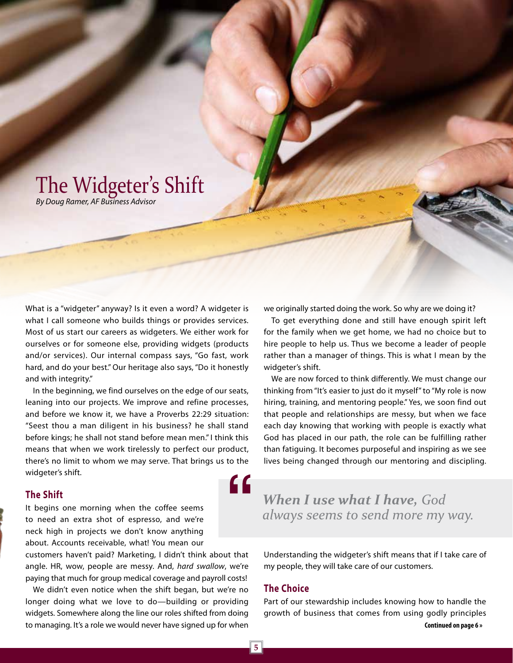# The Widgeter's Shift

*By Doug Ramer, AF Business Advisor*

What is a "widgeter" anyway? Is it even a word? A widgeter is what I call someone who builds things or provides services. Most of us start our careers as widgeters. We either work for ourselves or for someone else, providing widgets (products and/or services). Our internal compass says, "Go fast, work hard, and do your best." Our heritage also says, "Do it honestly and with integrity."

In the beginning, we find ourselves on the edge of our seats, leaning into our projects. We improve and refine processes, and before we know it, we have a Proverbs 22:29 situation: "Seest thou a man diligent in his business? he shall stand before kings; he shall not stand before mean men." I think this means that when we work tirelessly to perfect our product, there's no limit to whom we may serve. That brings us to the widgeter's shift. "

### **The Shift**

It begins one morning when the coffee seems to need an extra shot of espresso, and we're neck high in projects we don't know anything about. Accounts receivable, what! You mean our

customers haven't paid? Marketing, I didn't think about that angle. HR, wow, people are messy. And, *hard swallow*, we're paying that much for group medical coverage and payroll costs!

We didn't even notice when the shift began, but we're no longer doing what we love to do—building or providing widgets. Somewhere along the line our roles shifted from doing to managing. It's a role we would never have signed up for when

we originally started doing the work. So why are we doing it?

To get everything done and still have enough spirit left for the family when we get home, we had no choice but to hire people to help us. Thus we become a leader of people rather than a manager of things. This is what I mean by the widgeter's shift.

We are now forced to think differently. We must change our thinking from "It's easier to just do it myself" to "My role is now hiring, training, and mentoring people." Yes, we soon find out that people and relationships are messy, but when we face each day knowing that working with people is exactly what God has placed in our path, the role can be fulfilling rather than fatiguing. It becomes purposeful and inspiring as we see lives being changed through our mentoring and discipling.

*When I use what I have, God always seems to send more my way.* 

Understanding the widgeter's shift means that if I take care of my people, they will take care of our customers.

#### **The Choice**

Part of our stewardship includes knowing how to handle the growth of business that comes from using godly principles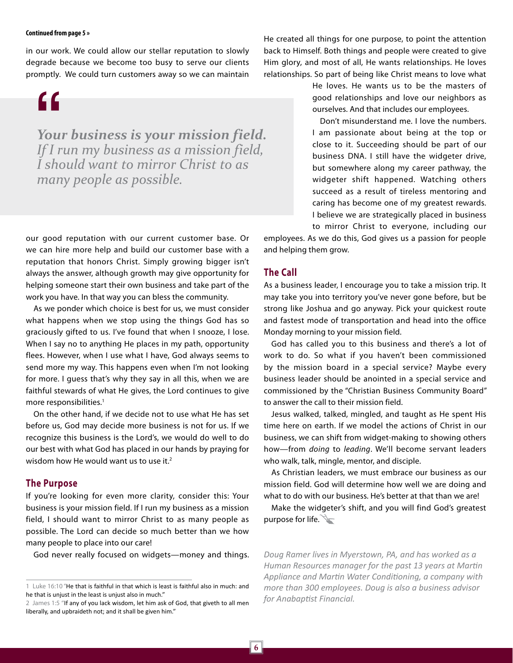#### **Continued from page 5 »**

in our work. We could allow our stellar reputation to slowly degrade because we become too busy to serve our clients promptly. We could turn customers away so we can maintain

"

*Your business is your mission field. If I run my business as a mission field, I should want to mirror Christ to as many people as possible.* 

our good reputation with our current customer base. Or we can hire more help and build our customer base with a reputation that honors Christ. Simply growing bigger isn't always the answer, although growth may give opportunity for helping someone start their own business and take part of the work you have. In that way you can bless the community.

As we ponder which choice is best for us, we must consider what happens when we stop using the things God has so graciously gifted to us. I've found that when I snooze, I lose. When I say no to anything He places in my path, opportunity flees. However, when I use what I have, God always seems to send more my way. This happens even when I'm not looking for more. I guess that's why they say in all this, when we are faithful stewards of what He gives, the Lord continues to give more responsibilities.<sup>1</sup>

On the other hand, if we decide not to use what He has set before us, God may decide more business is not for us. If we recognize this business is the Lord's, we would do well to do our best with what God has placed in our hands by praying for wisdom how He would want us to use it. $2$ 

#### **The Purpose**

If you're looking for even more clarity, consider this: Your business is your mission field. If I run my business as a mission field, I should want to mirror Christ to as many people as possible. The Lord can decide so much better than we how many people to place into our care!

God never really focused on widgets—money and things.

He created all things for one purpose, to point the attention back to Himself. Both things and people were created to give Him glory, and most of all, He wants relationships. He loves relationships. So part of being like Christ means to love what

> He loves. He wants us to be the masters of good relationships and love our neighbors as ourselves. And that includes our employees.

> Don't misunderstand me. I love the numbers. I am passionate about being at the top or close to it. Succeeding should be part of our business DNA. I still have the widgeter drive, but somewhere along my career pathway, the widgeter shift happened. Watching others succeed as a result of tireless mentoring and caring has become one of my greatest rewards. I believe we are strategically placed in business to mirror Christ to everyone, including our

employees. As we do this, God gives us a passion for people and helping them grow.

#### **The Call**

As a business leader, I encourage you to take a mission trip. It may take you into territory you've never gone before, but be strong like Joshua and go anyway. Pick your quickest route and fastest mode of transportation and head into the office Monday morning to your mission field.

God has called you to this business and there's a lot of work to do. So what if you haven't been commissioned by the mission board in a special service? Maybe every business leader should be anointed in a special service and commissioned by the "Christian Business Community Board" to answer the call to their mission field.

Jesus walked, talked, mingled, and taught as He spent His time here on earth. If we model the actions of Christ in our business, we can shift from widget-making to showing others how—from *doing* to *leading*. We'll become servant leaders who walk, talk, mingle, mentor, and disciple.

As Christian leaders, we must embrace our business as our mission field. God will determine how well we are doing and what to do with our business. He's better at that than we are!

Make the widgeter's shift, and you will find God's greatest purpose for life.

*Doug Ramer lives in Myerstown, PA, and has worked as a Human Resources manager for the past 13 years at Martin Appliance and Martin Water Conditioning, a company with more than 300 employees. Doug is also a business advisor for Anabaptist Financial.* 

<sup>1</sup> Luke 16:10 "He that is faithful in that which is least is faithful also in much: and he that is unjust in the least is unjust also in much."

<sup>2</sup> James 1:5 "If any of you lack wisdom, let him ask of God, that giveth to all men liberally, and upbraideth not; and it shall be given him."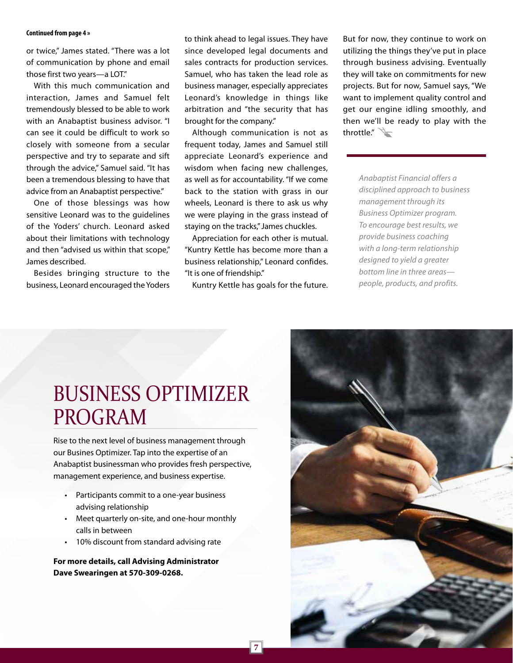#### **Continued from page 4 »**

or twice," James stated. "There was a lot of communication by phone and email those first two years—a LOT."

With this much communication and interaction, James and Samuel felt tremendously blessed to be able to work with an Anabaptist business advisor. "I can see it could be difficult to work so closely with someone from a secular perspective and try to separate and sift through the advice," Samuel said. "It has been a tremendous blessing to have that advice from an Anabaptist perspective."

One of those blessings was how sensitive Leonard was to the guidelines of the Yoders' church. Leonard asked about their limitations with technology and then "advised us within that scope," James described.

Besides bringing structure to the business, Leonard encouraged the Yoders to think ahead to legal issues. They have since developed legal documents and sales contracts for production services. Samuel, who has taken the lead role as business manager, especially appreciates Leonard's knowledge in things like arbitration and "the security that has brought for the company."

Although communication is not as frequent today, James and Samuel still appreciate Leonard's experience and wisdom when facing new challenges, as well as for accountability. "If we come back to the station with grass in our wheels, Leonard is there to ask us why we were playing in the grass instead of staying on the tracks," James chuckles.

Appreciation for each other is mutual. "Kuntry Kettle has become more than a business relationship," Leonard confides. "It is one of friendship."

Kuntry Kettle has goals for the future.

But for now, they continue to work on utilizing the things they've put in place through business advising. Eventually they will take on commitments for new projects. But for now, Samuel says, "We want to implement quality control and get our engine idling smoothly, and then we'll be ready to play with the throttle."

> *Anabaptist Financial offers a disciplined approach to business management through its Business Optimizer program. To encourage best results, we provide business coaching with a long-term relationship designed to yield a greater bottom line in three areas people, products, and profits.*

# BUSINESS OPTIMIZER PROGRAM

Rise to the next level of business management through our Busines Optimizer. Tap into the expertise of an Anabaptist businessman who provides fresh perspective, management experience, and business expertise.

- Participants commit to a one-year business advising relationship
- Meet quarterly on-site, and one-hour monthly calls in between
- 10% discount from standard advising rate

**For more details, call Advising Administrator Dave Swearingen at 570-309-0268.**

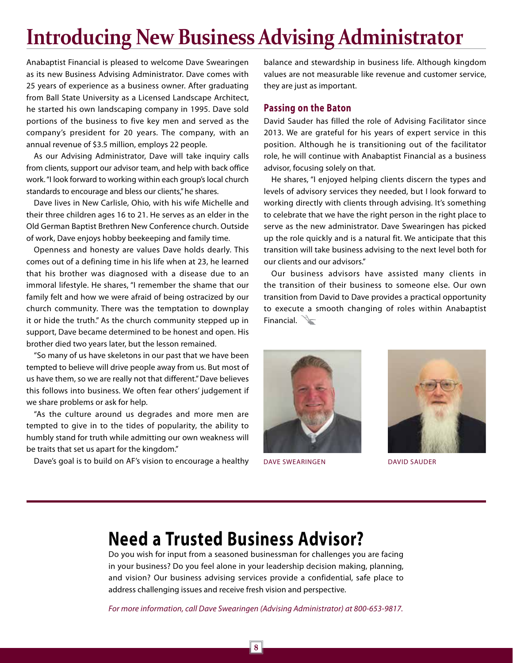# **Introducing New Business Advising Administrator**

Anabaptist Financial is pleased to welcome Dave Swearingen as its new Business Advising Administrator. Dave comes with 25 years of experience as a business owner. After graduating from Ball State University as a Licensed Landscape Architect, he started his own landscaping company in 1995. Dave sold portions of the business to five key men and served as the company's president for 20 years. The company, with an annual revenue of \$3.5 million, employs 22 people.

As our Advising Administrator, Dave will take inquiry calls from clients, support our advisor team, and help with back office work. "I look forward to working within each group's local church standards to encourage and bless our clients," he shares.

Dave lives in New Carlisle, Ohio, with his wife Michelle and their three children ages 16 to 21. He serves as an elder in the Old German Baptist Brethren New Conference church. Outside of work, Dave enjoys hobby beekeeping and family time.

Openness and honesty are values Dave holds dearly. This comes out of a defining time in his life when at 23, he learned that his brother was diagnosed with a disease due to an immoral lifestyle. He shares, "I remember the shame that our family felt and how we were afraid of being ostracized by our church community. There was the temptation to downplay it or hide the truth." As the church community stepped up in support, Dave became determined to be honest and open. His brother died two years later, but the lesson remained.

"So many of us have skeletons in our past that we have been tempted to believe will drive people away from us. But most of us have them, so we are really not that different." Dave believes this follows into business. We often fear others' judgement if we share problems or ask for help.

"As the culture around us degrades and more men are tempted to give in to the tides of popularity, the ability to humbly stand for truth while admitting our own weakness will be traits that set us apart for the kingdom."

Dave's goal is to build on AF's vision to encourage a healthy

balance and stewardship in business life. Although kingdom values are not measurable like revenue and customer service, they are just as important.

#### **Passing on the Baton**

David Sauder has filled the role of Advising Facilitator since 2013. We are grateful for his years of expert service in this position. Although he is transitioning out of the facilitator role, he will continue with Anabaptist Financial as a business advisor, focusing solely on that.

He shares, "I enjoyed helping clients discern the types and levels of advisory services they needed, but I look forward to working directly with clients through advising. It's something to celebrate that we have the right person in the right place to serve as the new administrator. Dave Swearingen has picked up the role quickly and is a natural fit. We anticipate that this transition will take business advising to the next level both for our clients and our advisors."

Our business advisors have assisted many clients in the transition of their business to someone else. Our own transition from David to Dave provides a practical opportunity to execute a smooth changing of roles within Anabaptist Financial.



DAVE SWEARINGEN DAVID SAUDER



# **Need a Trusted Business Advisor?**

Do you wish for input from a seasoned businessman for challenges you are facing in your business? Do you feel alone in your leadership decision making, planning, and vision? Our business advising services provide a confidential, safe place to address challenging issues and receive fresh vision and perspective.

*For more information, call Dave Swearingen (Advising Administrator) at 800-653-9817.*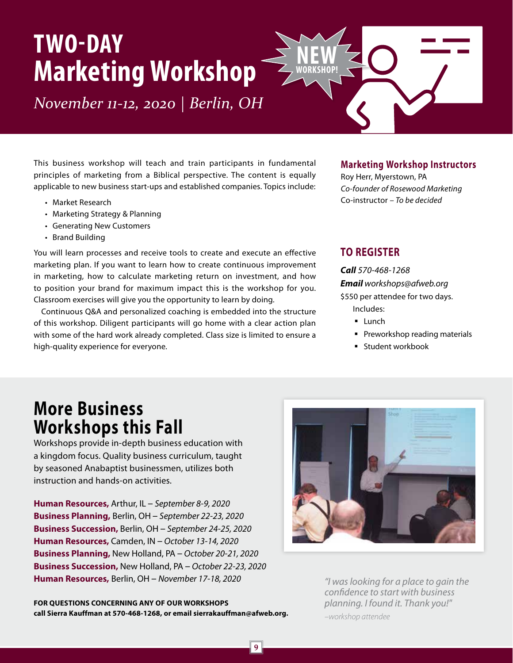# **TWO-DAY Marketing Workshop**

*November 11-12, 2020 | Berlin, OH*

This business workshop will teach and train participants in fundamental principles of marketing from a Biblical perspective. The content is equally applicable to new business start-ups and established companies. Topics include:

- Market Research
- Marketing Strategy & Planning
- Generating New Customers
- Brand Building

You will learn processes and receive tools to create and execute an effective marketing plan. If you want to learn how to create continuous improvement in marketing, how to calculate marketing return on investment, and how to position your brand for maximum impact this is the workshop for you. Classroom exercises will give you the opportunity to learn by doing.

Continuous Q&A and personalized coaching is embedded into the structure of this workshop. Diligent participants will go home with a clear action plan with some of the hard work already completed. Class size is limited to ensure a high-quality experience for everyone.

# **Marketing Workshop Instructors**

Roy Herr, Myerstown, PA *Co-founder of Rosewood Marketing* Co-instructor *– To be decided* 

# **TO REGISTER**

**NEW WORKSHOP!**

> *Call 570-468-1268 Email workshops@afweb.org*

\$550 per attendee for two days. Includes:

- **Lunch**
- **Preworkshop reading materials**
- **Student workbook**

# **More Business Workshops this Fall**

Workshops provide in-depth business education with a kingdom focus. Quality business curriculum, taught by seasoned Anabaptist businessmen, utilizes both instruction and hands-on activities.

**Human Resources,** Arthur, IL – *September 8-9, 2020* **Business Planning,** Berlin, OH – *September 22-23, 2020* **Business Succession,** Berlin, OH – *September 24-25, 2020* **Human Resources,** Camden, IN – *October 13-14, 2020* **Business Planning,** New Holland, PA – *October 20-21, 2020* **Business Succession,** New Holland, PA – *October 22-23, 2020* **Human Resources,** Berlin, OH – *November 17-18, 2020*

**FOR QUESTIONS CONCERNING ANY OF OUR WORKSHOPS call Sierra Kauffman at 570-468-1268, or email sierrakauffman@afweb.org.**



*"I was looking for a place to gain the confidence to start with business planning. I found it. Thank you!" –workshop attendee*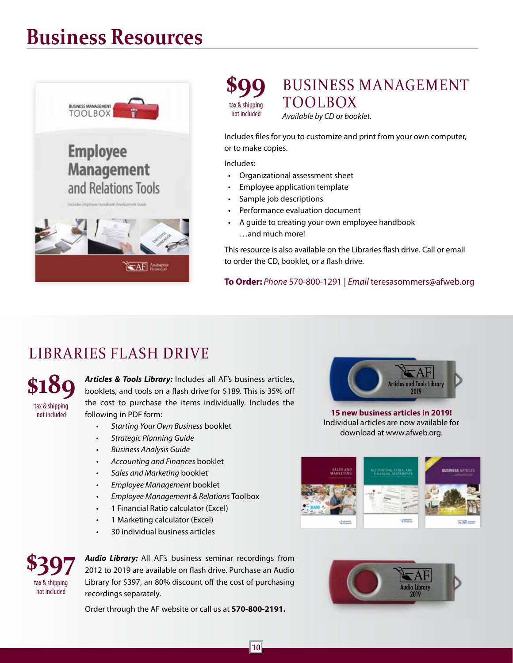# **Business Resources**





*Available by CD or booklet.* 

Includes files for you to customize and print from your own computer, or to make copies.

Includes:

- Organizational assessment sheet
- Employee application template
- Sample job descriptions
- Performance evaluation document
- A guide to creating your own employee handbook …and much more!

This resource is also available on the Libraries flash drive. Call or email to order the CD, booklet, or a flash drive.

**To Order:** *Phone* 570-800-1291 | *Email* teresasommers@afweb.org

# LIBRARIES FLASH DRIVE

**\$189** tax & shipping not included

*Articles & Tools Library:* Includes all AF's business articles, booklets, and tools on a flash drive for \$189. This is 35% off the cost to purchase the items individually. Includes the following in PDF form:

- *• Starting Your Own Business* booklet
- *• Strategic Planning Guide*
- *• Business Analysis Guide*
- *• Accounting and Finances* booklet
- *• Sales and Marketing* booklet
- *• Employee Management* booklet
- *• Employee Management & Relations* Toolbox
- 1 Financial Ratio calculator (Excel)
- 1 Marketing calculator (Excel)
- 30 individual business articles



**15 new business articles in 2019!** Individual articles are now available for download at www.afweb.org.



**\$397** tax & shipping not included

*Audio Library:* All AF's business seminar recordings from 2012 to 2019 are available on flash drive. Purchase an Audio Library for \$397, an 80% discount off the cost of purchasing recordings separately.

Order through the AF website or call us at **570-800-2191.**

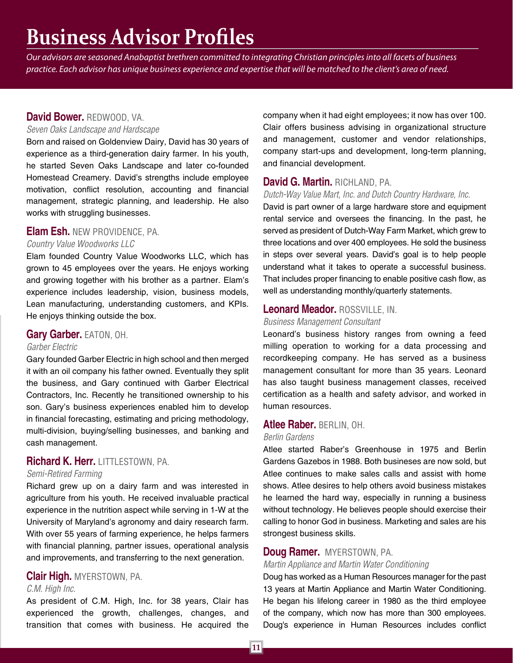# **Business Advisor Profiles**

*Our advisors are seasoned Anabaptist brethren committed to integrating Christian principles into all facets of business practice. Each advisor has unique business experience and expertise that will be matched to the client's area of need.* 

# **David Bower.** REDWOOD, VA.

#### *Seven Oaks Landscape and Hardscape*

Born and raised on Goldenview Dairy, David has 30 years of experience as a third-generation dairy farmer. In his youth, he started Seven Oaks Landscape and later co-founded Homestead Creamery. David's strengths include employee motivation, conflict resolution, accounting and financial management, strategic planning, and leadership. He also works with struggling businesses.

# **Elam Esh.** NEW PROVIDENCE, PA.

## *Country Value Woodworks LLC*

Elam founded Country Value Woodworks LLC, which has grown to 45 employees over the years. He enjoys working and growing together with his brother as a partner. Elam's experience includes leadership, vision, business models, Lean manufacturing, understanding customers, and KPIs. He enjoys thinking outside the box.

#### **Gary Garber.** EATON, OH.

#### *Garber Electric*

Gary founded Garber Electric in high school and then merged it with an oil company his father owned. Eventually they split the business, and Gary continued with Garber Electrical Contractors, Inc. Recently he transitioned ownership to his son. Gary's business experiences enabled him to develop in financial forecasting, estimating and pricing methodology, multi-division, buying/selling businesses, and banking and cash management.

# **Richard K. Herr.** LITTLESTOWN, PA.

#### *Semi-Retired Farming*

Richard grew up on a dairy farm and was interested in agriculture from his youth. He received invaluable practical experience in the nutrition aspect while serving in 1-W at the University of Maryland's agronomy and dairy research farm. With over 55 years of farming experience, he helps farmers with financial planning, partner issues, operational analysis and improvements, and transferring to the next generation.

# **Clair High.** MYERSTOWN, PA.

#### *C.M. High Inc.*

As president of C.M. High, Inc. for 38 years, Clair has experienced the growth, challenges, changes, and transition that comes with business. He acquired the company when it had eight employees; it now has over 100. Clair offers business advising in organizational structure and management, customer and vendor relationships, company start-ups and development, long-term planning, and financial development.

# **David G. Martin.** RICHLAND, PA.

#### *Dutch-Way Value Mart, Inc. and Dutch Country Hardware, Inc.*

David is part owner of a large hardware store and equipment rental service and oversees the financing. In the past, he served as president of Dutch-Way Farm Market, which grew to three locations and over 400 employees. He sold the business in steps over several years. David's goal is to help people understand what it takes to operate a successful business. That includes proper financing to enable positive cash flow, as well as understanding monthly/quarterly statements.

## **Leonard Meador.** ROSSVILLE, IN.

#### *Business Management Consultant*

Leonard's business history ranges from owning a feed milling operation to working for a data processing and recordkeeping company. He has served as a business management consultant for more than 35 years. Leonard has also taught business management classes, received certification as a health and safety advisor, and worked in human resources.

#### **Atlee Raber.** BERLIN, OH.

#### *Berlin Gardens*

Atlee started Raber's Greenhouse in 1975 and Berlin Gardens Gazebos in 1988. Both busineses are now sold, but Atlee continues to make sales calls and assist with home shows. Atlee desires to help others avoid business mistakes he learned the hard way, especially in running a business without technology. He believes people should exercise their calling to honor God in business. Marketing and sales are his strongest business skills.

## **Doug Ramer.** MYERSTOWN, PA.

#### *Martin Appliance and Martin Water Conditioning*

Doug has worked as a Human Resources manager for the past 13 years at Martin Appliance and Martin Water Conditioning. He began his lifelong career in 1980 as the third employee of the company, which now has more than 300 employees. Doug's experience in Human Resources includes conflict